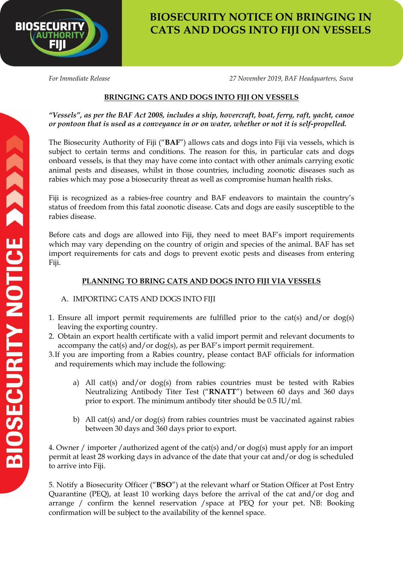

## **BIOSECURITY NOTICE ON BRINGING IN CATS AND DOGS INTO FIJI ON VESSELS**

*For Immediate Release 27 November 2019, BAF Headquarters, Suva*

## **BRINGING CATS AND DOGS INTO FIJI ON VESSELS**

*"Vessels", as per the BAF Act 2008, includes a ship, hovercraft, boat, ferry, raft, yacht, canoe or pontoon that is used as a conveyance in or on water, whether or not it is self-propelled.* 

The Biosecurity Authority of Fiji ("**BAF**") allows cats and dogs into Fiji via vessels, which is subject to certain terms and conditions. The reason for this, in particular cats and dogs onboard vessels, is that they may have come into contact with other animals carrying exotic animal pests and diseases, whilst in those countries, including zoonotic diseases such as rabies which may pose a biosecurity threat as well as compromise human health risks.

Fiji is recognized as a rabies-free country and BAF endeavors to maintain the country's status of freedom from this fatal zoonotic disease. Cats and dogs are easily susceptible to the rabies disease.

Before cats and dogs are allowed into Fiji, they need to meet BAF's import requirements which may vary depending on the country of origin and species of the animal. BAF has set import requirements for cats and dogs to prevent exotic pests and diseases from entering Fiji.

## **PLANNING TO BRING CATS AND DOGS INTO FIJI VIA VESSELS**

## A. IMPORTING CATS AND DOGS INTO FIJI

- 1. Ensure all import permit requirements are fulfilled prior to the cat(s) and/or dog(s) leaving the exporting country.
- 2. Obtain an export health certificate with a valid import permit and relevant documents to accompany the cat(s) and/or dog(s), as per BAF's import permit requirement.
- 3.If you are importing from a Rabies country, please contact BAF officials for information and requirements which may include the following:
	- a) All cat(s) and/or dog(s) from rabies countries must be tested with Rabies Neutralizing Antibody Titer Test ("**RNATT**") between 60 days and 360 days prior to export. The minimum antibody titer should be 0.5 IU/ml.
	- b) All cat(s) and/or dog(s) from rabies countries must be vaccinated against rabies between 30 days and 360 days prior to export.

4. Owner / importer /authorized agent of the cat(s) and/or dog(s) must apply for an import permit at least 28 working days in advance of the date that your cat and/or dog is scheduled to arrive into Fiji.

5. Notify a Biosecurity Officer ("**BSO**") at the relevant wharf or Station Officer at Post Entry Quarantine (PEQ), at least 10 working days before the arrival of the cat and/or dog and arrange / confirm the kennel reservation /space at PEQ for your pet. NB: Booking confirmation will be subject to the availability of the kennel space.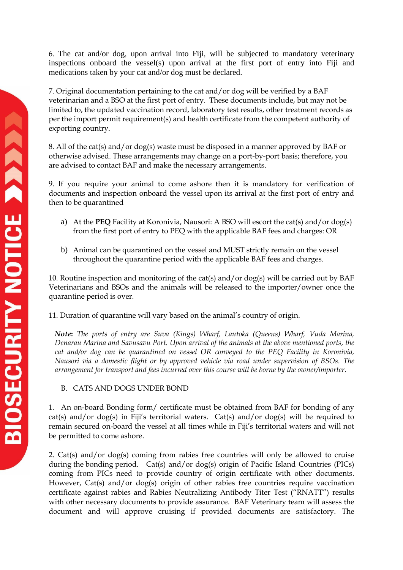6. The cat and/or dog, upon arrival into Fiji, will be subjected to mandatory veterinary inspections onboard the vessel(s) upon arrival at the first port of entry into Fiji and medications taken by your cat and/or dog must be declared.

7. Original documentation pertaining to the cat and/or dog will be verified by a BAF veterinarian and a BSO at the first port of entry. These documents include, but may not be limited to, the updated vaccination record, laboratory test results, other treatment records as per the import permit requirement(s) and health certificate from the competent authority of exporting country.

8. All of the cat(s) and/or dog(s) waste must be disposed in a manner approved by BAF or otherwise advised. These arrangements may change on a port-by-port basis; therefore, you are advised to contact BAF and make the necessary arrangements.

9. If you require your animal to come ashore then it is mandatory for verification of documents and inspection onboard the vessel upon its arrival at the first port of entry and then to be quarantined

- a) At the **PEQ** Facility at Koronivia, Nausori: A BSO will escort the cat(s) and/or dog(s) from the first port of entry to PEQ with the applicable BAF fees and charges: OR
- b) Animal can be quarantined on the vessel and MUST strictly remain on the vessel throughout the quarantine period with the applicable BAF fees and charges.

10. Routine inspection and monitoring of the cat(s) and/or dog(s) will be carried out by BAF Veterinarians and BSOs and the animals will be released to the importer/owner once the quarantine period is over.

11. Duration of quarantine will vary based on the animal's country of origin.

*Note***:** *The ports of entry are Suva (Kings) Wharf, Lautoka (Queens) Wharf, Vuda Marina, Denarau Marina and Savusavu Port. Upon arrival of the animals at the above mentioned ports, the cat and/or dog can be quarantined on vessel OR conveyed to the PEQ Facility in Koronivia, Nausori via a domestic flight or by approved vehicle via road under supervision of BSOs. The arrangement for transport and fees incurred over this course will be borne by the owner/importer.* 

B. CATS AND DOGS UNDER BOND

1. An on-board Bonding form/ certificate must be obtained from BAF for bonding of any cat(s) and/or dog(s) in Fiji's territorial waters. Cat(s) and/or dog(s) will be required to remain secured on-board the vessel at all times while in Fiji's territorial waters and will not be permitted to come ashore.

2. Cat(s) and/or dog(s) coming from rabies free countries will only be allowed to cruise during the bonding period. Cat(s) and/or dog(s) origin of Pacific Island Countries (PICs) coming from PICs need to provide country of origin certificate with other documents. However, Cat(s) and/or dog(s) origin of other rabies free countries require vaccination certificate against rabies and Rabies Neutralizing Antibody Titer Test ("RNATT") results with other necessary documents to provide assurance. BAF Veterinary team will assess the document and will approve cruising if provided documents are satisfactory. The